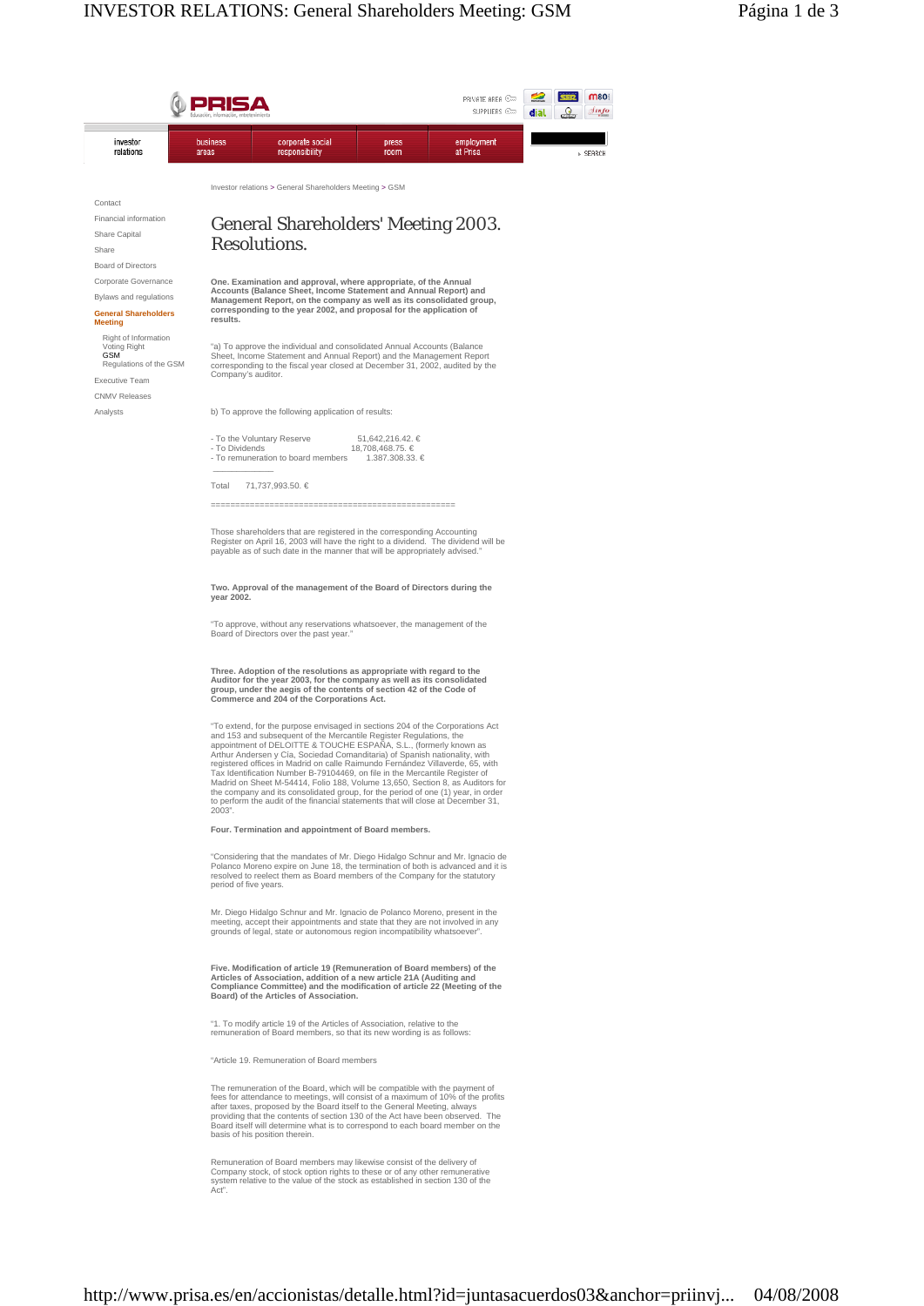# General Shareholders' Meeting 2003. Resolutions.

**One. Examination and approval, where appropriate, of the Annual Accounts (Balance Sheet, Income Statement and Annual Report) and Management Report, on the company as well as its consolidated group, corresponding to the year 2002, and proposal for the application of results.**

"a) To approve the individual and consolidated Annual Accounts (Balance Sheet, Income Statement and Annual Report) and the Management Report corresponding to the fiscal year closed at December 31, 2002, audited by the Company's auditor.

b) To approve the following application of results:

| - To the Voluntary Reserve         | 51.642.216.42. € |
|------------------------------------|------------------|
| - To Dividends                     | 18,708,468,75, € |
| - To remuneration to board members | 1.387.308.33. €  |
|                                    |                  |

Total 71,737,993.50. €

 $\Lambda$ 

==================================================

Those shareholders that are registered in the corresponding Accounting<br>Register on April 16, 2003 will have the right to a dividend. The dividend will be Register on April 16, 2003 will have the right to a dividend. The dividend will be payable as of such date in the manner that will be appropriately advised."

#### **Two. Approval of the management of the Board of Directors during the year 2002.**

"To approve, without any reservations whatsoever, the management of the Board of Directors over the past year.

### **Three. Adoption of the resolutions as appropriate with regard to the Auditor for the year 2003, for the company as well as its consolidated group, under the aegis of the contents of section 42 of the Code of Commerce and 204 of the Corporations Act.**

"To extend, for the purpose envisaged in sections 204 of the Corporations Act<br>and 153 and subsequent of the Mercantile Register Regulations, the<br>appointment of DELOITTE & TOUCHE ESPAÑA, S.L., (formerly known as Arthur Andersen y Cía, Sociedad Comanditaria) of Spanish nationality, with registered offices in Madrid on calle Raimundo Fernández Villaverde, 65, with Tax Identification Number B-79104469, on file in the Mercantile Register of Madrid on Sheet M-54414, Folio 188, Volume 13,650, Section 8, as Auditors for the company and its consolidated group, for the period of one (1) year, in order to perform the audit of the financial statements that will close at December 31, 2003".

### **Four. Termination and appointment of Board members.**

"Considering that the mandates of Mr. Diego Hidalgo Schnur and Mr. Ignacio de<br>Polanco Moreno expire on June 18, the termination of both is advanced and it is<br>resolved to reelect them as Board members of the Company for the period of five years.

Mr. Diego Hidalgo Schnur and Mr. Ignacio de Polanco Moreno, present in the<br>meeting, accept their appointments and state that they are not involved in any<br>grounds of legal, state or autonomous region incompatibility whatsoe

**Five. Modification of article 19 (Remuneration of Board members) of the Articles of Association, addition of a new article 21A (Auditing and Compliance Committee) and the modification of article 22 (Meeting of the Board) of the Articles of Association.** 

"1. To modify article 19 of the Articles of Association, relative to the remuneration of Board members, so that its new wording is as follows:

"Article 19. Remuneration of Board members

The remuneration of the Board, which will be compatible with the payment of fees for attendance to meetings, will consist of a maximum of 10% of the profits after taxes, proposed by the Board itself to the General Meeting, always providing that the contents of section 130 of the Act have been observed. The Board itself will determine what is to correspond to each board member on the basis of his position therein.

Remuneration of Board members may likewise consist of the delivery of Company stock, of stock option rights to these or of any other remunerative system relative to the value of the stock as established in section 130 of the Act".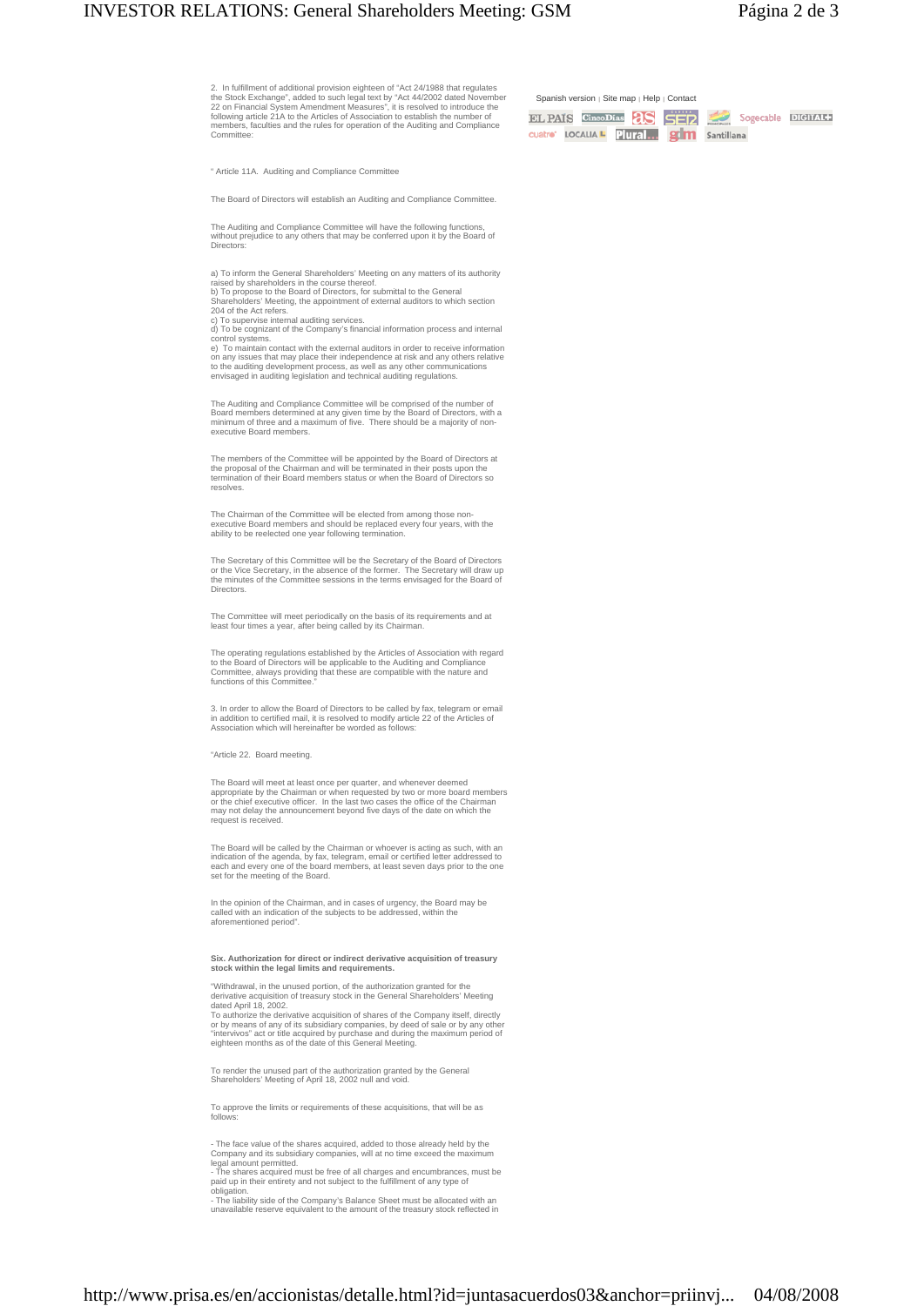2. In fulfillment of additional provision eighteen of "Act 24/1988 that regulates<br>the Stock Exchange", added to such legal text by "Act 44/2002 dated November<br>22 on Financial System Amendment Measures", it is resolved to i members, faculties and the rules for operation of the Auditing and Compliance Committee:

Span

EL F cuatra

" Article 11A. Auditing and Compliance Committee

The Board of Directors will establish an Auditing and Compliance Committee.

The Auditing and Compliance Committee will have the following functions, without prejudice to any others that may be conferred upon it by the Board of Directors:

a) To inform the General Shareholders' Meeting on any matters of its authority<br>raised by shareholders in the course thereof.<br>b) To propose to the Board of Directors, for submittal to the General<br>Shareholders' Meeting, the

204 of the Act refers.

c) To supervise internal auditing services. d) To be cognizant of the Company's financial information process and internal control systems.

e) To maintain contact with the external auditors in order to receive information<br>on any issues that may place their independence at risk and any others relative<br>to the auditing development process, as well as any other co

The Auditing and Compliance Committee will be comprised of the number of<br>Board members determined at any given time by the Board of Directors, with a<br>minimum of three and a maximum of five. There should be a majority of n executive Board members.

The members of the Committee will be appointed by the Board of Directors at<br>the proposal of the Chairman and will be terminated in their posts upon the<br>termination of their Board members status or when the Board of Directo resolves.

The Chairman of the Committee will be elected from among those non-<br>executive Board members and should be replaced every four years, with the<br>ability to be reelected one year following termination.

The Secretary of this Committee will be the Secretary of the Board of Directors<br>or the Vice Secretary, in the absence of the former. The Secretary will draw up<br>the minutes of the Committee sessions in the terms envisaged f Directors.

The Committee will meet periodically on the basis of its requirements and at least four times a year, after being called by its Chairman.

The operating regulations established by the Articles of Association with regard<br>to the Board of Directors will be applicable to the Auditing and Compliance<br>Committee, always providing that these are compatible with the na

3. In order to allow the Board of Directors to be called by fax, telegram or email<br>in addition to certified mail, it is resolved to modify article 22 of the Articles of<br>Association which will hereinafter be worded as follo

"Article 22. Board meeting.

The Board will meet at least once per quarter, and whenever deemed<br>appropriate by the Chairman or when requested by two or more board members<br>or the chief executive officer. In the last two cases the office of the Chairman request is received.

The Board will be called by the Chairman or whoever is acting as such, with an<br>indication of the agenda, by fax, telegram, email or certified letter addressed to<br>each and every one of the board members, at least seven days

In the opinion of the Chairman, and in cases of urgency, the Board may be called with an indication of the subjects to be addressed, within the aforementioned period".

## **Six. Authorization for direct or indirect derivative acquisition of treasury stock within the legal limits and requirements.**

 "Withdrawal, in the unused portion, of the authorization granted for the derivative acquisition of treasury stock in the General Shareholders' Meeting dated April 18, 2002. To authorize the derivative acquisition of shares of the Company itself, directly<br>or by means of any of its subsidiary companies, by deed of sale or by any other<br>"intervivos" act or title acquired by purchase and during th

To render the unused part of the authorization granted by the General Shareholders' Meeting of April 18, 2002 null and void.

To approve the limits or requirements of these acquisitions, that will be a follows:

- The face value of the shares acquired, added to those already held by the Company and its subsidiary companies, will at no time exceed the maximum

legal amount permitted.<br>- The shares acquired m - The shares acquired must be free of all charges and encumbrances, must be paid up in their entirety and not subject to the fulfillment of any type of obligation.

- The liability side of the Company's Balance Sheet must be allocated with an unavailable reserve equivalent to the amount of the treasury stock reflected in